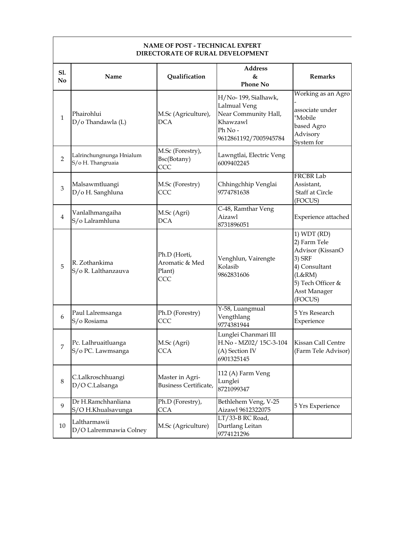|                | <b>NAME OF POST - TECHNICAL EXPERT</b><br><b>DIRECTORATE OF RURAL DEVELOPMENT</b> |                                                 |                                                                                                            |                                                                                                                                      |  |
|----------------|-----------------------------------------------------------------------------------|-------------------------------------------------|------------------------------------------------------------------------------------------------------------|--------------------------------------------------------------------------------------------------------------------------------------|--|
| S1.<br>No      | Name                                                                              | Qualification                                   | <b>Address</b><br>$\&$<br><b>Phone No</b>                                                                  | <b>Remarks</b>                                                                                                                       |  |
| $\mathbf{1}$   | Phairohlui<br>D/o Thandawla (L)                                                   | M.Sc (Agriculture),<br><b>DCA</b>               | H/No-199, Sialhawk,<br>Lalmual Veng<br>Near Community Hall,<br>Khawzawl<br>Ph No-<br>9612861192/7005945784 | Working as an Agro<br>associate under<br>"Mobile<br>based Agro<br>Advisory<br>System for                                             |  |
| $\overline{2}$ | Lalrinchungnunga Hnialum<br>S/o H. Thangruaia                                     | M.Sc (Forestry),<br>Bsc(Botany)<br>CCC          | Lawngtlai, Electric Veng<br>6009402245                                                                     |                                                                                                                                      |  |
| 3              | Malsawmtluangi<br>D/o H. Sanghluna                                                | M.Sc (Forestry)<br>CCC                          | Chhingchhip Venglai<br>9774781638                                                                          | <b>FRCBR Lab</b><br>Assistant,<br>Staff at Circle<br>(FOCUS)                                                                         |  |
| $\overline{4}$ | Vanlalhmangaiha<br>S/o Lalramhluna                                                | M.Sc (Agri)<br><b>DCA</b>                       | C-48, Ramthar Veng<br>Aizawl<br>8731896051                                                                 | Experience attached                                                                                                                  |  |
| 5              | R. Zothankima<br>S/o R. Lalthanzauva                                              | Ph.D (Horti,<br>Aromatic & Med<br>Plant)<br>CCC | Venghlun, Vairengte<br>Kolasib<br>9862831606                                                               | 1) WDT (RD)<br>2) Farm Tele<br>Advisor (KissanO<br>3) SRF<br>4) Consultant<br>(L&RN)<br>5) Tech Officer &<br>Asst Manager<br>(FOCUS) |  |
| 6              | Paul Lalremsanga<br>S/o Rosiama                                                   | Ph.D (Forestry)<br>CCC                          | Y-58, Luangmual<br>Vengthlang<br>9774381944                                                                | 5 Yrs Research<br>Experience                                                                                                         |  |
| 7              | Pc. Lalhruaitluanga<br>S/o PC. Lawmsanga                                          | M.Sc (Agri)<br><b>CCA</b>                       | Lunglei Chanmari III<br>H.No - MZ02/15C-3-104<br>(A) Section IV<br>6901325145                              | Kissan Call Centre<br>(Farm Tele Advisor)                                                                                            |  |
| $\,8\,$        | C.Lalkroschhuangi<br>D/O C.Lalsanga                                               | Master in Agri-<br><b>Business Certificate,</b> | 112 (A) Farm Veng<br>Lunglei<br>8721099347                                                                 |                                                                                                                                      |  |
| 9              | Dr H.Ramchhanliana<br>S/O H.Khualsavunga                                          | Ph.D (Forestry),<br>CCA                         | Bethlehem Veng, V-25<br>Aizawl 9612322075                                                                  | 5 Yrs Experience                                                                                                                     |  |
| $10\,$         | Laltharmawii<br>D/O Lalremmawia Colney                                            | M.Sc (Agriculture)                              | LT/33-B RC Road,<br>Durtlang Leitan<br>9774121296                                                          |                                                                                                                                      |  |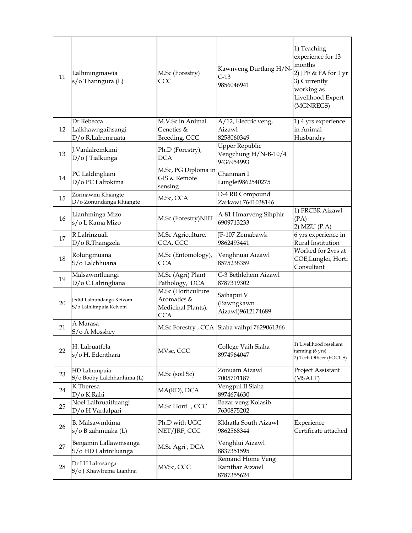| 11 | Lalhmingmawia<br>s/o Thanngura (L)                 | M.Sc (Forestry)<br>CCC                                         | Kawnveng Durtlang H/N-<br>$C-13$<br>9856046941              | 1) Teaching<br>experience for 13<br>months<br>2) JPF & FA for 1 yr<br>3) Currently<br>working as<br>Livelihood Expert<br>(MGNREGS) |
|----|----------------------------------------------------|----------------------------------------------------------------|-------------------------------------------------------------|------------------------------------------------------------------------------------------------------------------------------------|
| 12 | Dr Rebecca<br>Lalkhawngaihsangi                    | M.V.Sc in Animal<br>Genetics &                                 | A/12, Electric veng,<br>Aizawl                              | 1) 4 yrs experience<br>in Animal                                                                                                   |
|    | D/o R.Lalremruata                                  | Breeding, CCC                                                  | 8258060349                                                  | Husbandry                                                                                                                          |
| 13 | J.Vanlalremkimi<br>D/o J Tialkunga                 | Ph.D (Forestry),<br><b>DCA</b>                                 | <b>Upper Republic</b><br>Vengchung H/N-B-10/4<br>9436954993 |                                                                                                                                    |
| 14 | PC Laldingliani<br>D/o PC Lalrokima                | M.Sc, PG Diploma in<br>GIS & Remote<br>sensing                 | Chanmari I<br>Lunglei9862540275                             |                                                                                                                                    |
| 15 | Zorinawmi Khiangte<br>D/o Zonundanga Khiangte      | M.Sc, CCA                                                      | D-4 RB Compound<br>Zarkawt 7641038146                       |                                                                                                                                    |
| 16 | Lianhminga Mizo<br>s/o L Kama Mizo                 | M.Sc (Forestry)NIIT                                            | A-81 Hmarveng Sihphir<br>6909713233                         | 1) FRCBR Aizawl<br>(PA)<br>2) MZU (P.A)                                                                                            |
| 17 | R.Lalrinzuali<br>D/o R.Thangzela                   | M.Sc Agriculture,<br>CCA, CCC                                  | JF-107 Zemabawk<br>9862493441                               | 6 yrs experience in<br>Rural Institution                                                                                           |
| 18 | Rolungmuana<br>S/o Lalchhuana                      | M.Sc (Entomology),<br><b>CCA</b>                               | Venghnuai Aizawl<br>8575238359                              | Worked for 2yrs at<br>COE,Lunglei, Horti<br>Consultant                                                                             |
| 19 | Malsawmtluangi<br>D/o C.Lalringliana               | M.Sc (Agri) Plant<br>Pathology, DCA                            | C-3 Bethlehem Aizawl<br>8787319302                          |                                                                                                                                    |
| 20 | Jedid Lalnundanga Keivom<br>S/o Lalhlimpuia Keivom | M.Sc (Horticulture<br>Aromatics &<br>Medicinal Plants),<br>CCA | Saihapui V<br>(Bawngkawn<br>Aizawl)9612174689               |                                                                                                                                    |
| 21 | A Marasa<br>S/o A Mosshey                          |                                                                | M.Sc Forestry, CCA Siaha vaihpi 7629061366                  |                                                                                                                                    |
| 22 | H. Lalruatfela<br>s/oH. Edenthara                  | MVsc, CCC                                                      | College Vaih Siaha<br>8974964047                            | 1) Livelihood reselient<br>farming (6 yrs)<br>2) Tech Officer (FOCUS)                                                              |
| 23 | HD Lalnunpuia<br>S/o Booby Lalchhanhima (L)        | M.Sc (soil Sc)                                                 | Zonuam Aizawl<br>7005701187                                 | Project Assistant<br>(MSALT)                                                                                                       |
| 24 | K Theresa<br>D/o K.Rahi                            | MA(RD), DCA                                                    | Vengpui II Siaha<br>8974674630                              |                                                                                                                                    |
| 25 | Noel Lalhruaitluangi<br>D/o H Vanlalpari           | M.Sc Horti, CCC                                                | Bazar veng Kolasib<br>7630875202                            |                                                                                                                                    |
| 26 | B. Malsawmkima<br>s/o B zahmuaka (L)               | Ph.D with UGC<br>NET/JRF, CCC                                  | Kkhatla South Aizawl<br>9862568344                          | Experience<br>Certificate attached                                                                                                 |
| 27 | Benjamin Lallawmsanga<br>S/o HD Lalrintluanga      | M.Sc Agri, DCA                                                 | Venghlui Aizawl<br>8837351595                               |                                                                                                                                    |
| 28 | Dr LH Lalrosanga<br>S/o J Khawlrema Lianhna        | MVSc, CCC                                                      | Remand Home Veng<br>Ramthar Aizawl<br>8787355624            |                                                                                                                                    |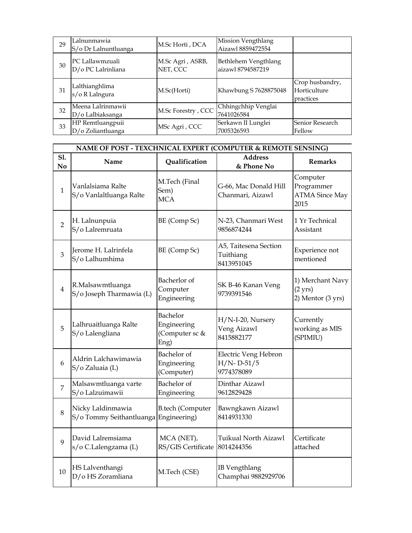| 29 | Lalnunmawia<br>S/o Dr Lalnuntluanga   | M.Sc Horti, DCA              | <b>Mission Vengthlang</b><br>Aizawl 8859472554 |                                              |
|----|---------------------------------------|------------------------------|------------------------------------------------|----------------------------------------------|
| 30 | PC Lallawmzuali<br>D/o PC Lalrinliana | M.Sc Agri, ASRB,<br>NET, CCC | Bethlehem Vengthlang<br>aizawl 8794587219      |                                              |
| 31 | Lalthianghlima<br>s/o R Lalngura      | M.Sc(Horti)                  | Khawbung S 7628875048                          | Crop husbandry,<br>Horticulture<br>practices |
| 32 | Meena Lalrinmawii<br>D/o Lalbiaksanga | M.Sc Forestry, CCC           | Chhingchhip Venglai<br>7641026584              |                                              |
| 33 | HP Remtluangpuii<br>D/o Zoliantluanga | MSc Agri, CCC                | Serkawn II Lunglei<br>7005326593               | Senior Research<br>Fellow                    |

|                       | NAME OF POST - TEXCHNICAL EXPERT (COMPUTER & REMOTE SENSING) |                                                   |                                                      |                                                            |  |
|-----------------------|--------------------------------------------------------------|---------------------------------------------------|------------------------------------------------------|------------------------------------------------------------|--|
| S1.<br>N <sub>o</sub> | Name                                                         | Qualification                                     | <b>Address</b><br>& Phone No                         | <b>Remarks</b>                                             |  |
| $\mathbf{1}$          | Vanlalsiama Ralte<br>S/o Vanlaltluanga Ralte                 | M.Tech (Final<br>Sem)<br><b>MCA</b>               | G-66, Mac Donald Hill<br>Chanmari, Aizawl            | Computer<br>Programmer<br><b>ATMA Since May</b><br>2015    |  |
| $\overline{2}$        | H. Lalnunpuia<br>S/o Lalremruata                             | BE (Comp Sc)                                      | N-23, Chanmari West<br>9856874244                    | 1 Yr Technical<br>Assistant                                |  |
| 3                     | Jerome H. Lalrinfela<br>S/o Lalhumhima                       | BE (Comp Sc)                                      | A5, Taitesena Section<br>Tuithiang<br>8413951045     | Experience not<br>mentioned                                |  |
| $\overline{4}$        | R.Malsawmtluanga<br>S/o Joseph Tharmawia (L)                 | Bacherlor of<br>Computer<br>Engineering           | SK B-46 Kanan Veng<br>9739391546                     | 1) Merchant Navy<br>$(2 \text{ yrs})$<br>2) Mentor (3 yrs) |  |
| 5                     | Lalhruaitluanga Ralte<br>S/o Lalengliana                     | Bachelor<br>Engineering<br>(Computer sc &<br>Eng) | H/N-I-20, Nursery<br>Veng Aizawl<br>8415882177       | Currently<br>working as MIS<br>(SPIMIU)                    |  |
| 6                     | Aldrin Lalchawimawia<br>S/o Zaluaia (L)                      | Bachelor of<br>Engineering<br>(Computer)          | Electric Veng Hebron<br>$H/N$ - D-51/5<br>9774378089 |                                                            |  |
| $\overline{7}$        | Malsawmtluanga varte<br>S/o Lalzuimawii                      | Bachelor of<br>Engineering                        | Dinthar Aizawl<br>9612829428                         |                                                            |  |
| 8                     | Nicky Laldinmawia<br>S/o Tommy Seithantluanga Engineering)   | <b>B.tech (Computer</b>                           | Bawngkawn Aizawl<br>8414931330                       |                                                            |  |
| 9                     | David Lalremsiama<br>s/o C.Lalengzama (L)                    | MCA (NET),<br>RS/GIS Certificate                  | Tuikual North Aizawl<br>8014244356                   | Certificate<br>attached                                    |  |
| 10                    | HS Lalventhangi<br>D/o HS Zoramliana                         | M.Tech (CSE)                                      | <b>IB Vengthlang</b><br>Champhai 9882929706          |                                                            |  |